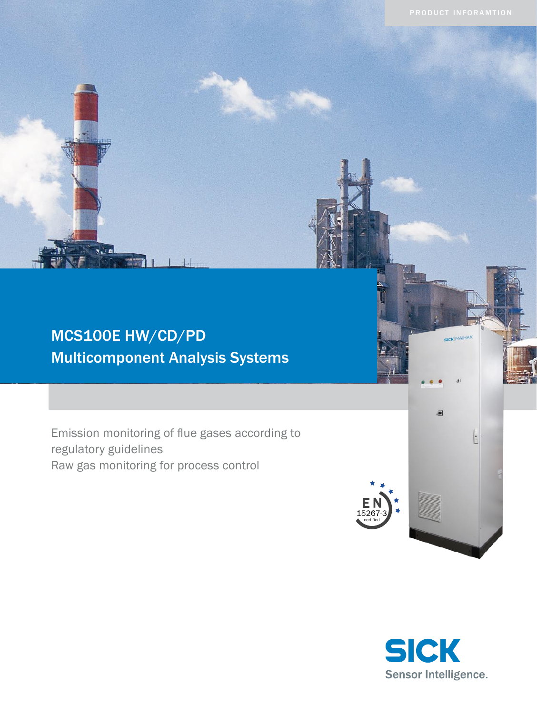# MCS100E HW/CD/PD Multicomponent Analysis Systems

Emission monitoring of flue gases according to regulatory guidelines Raw gas monitoring for process control



**SICK** MAIHAR

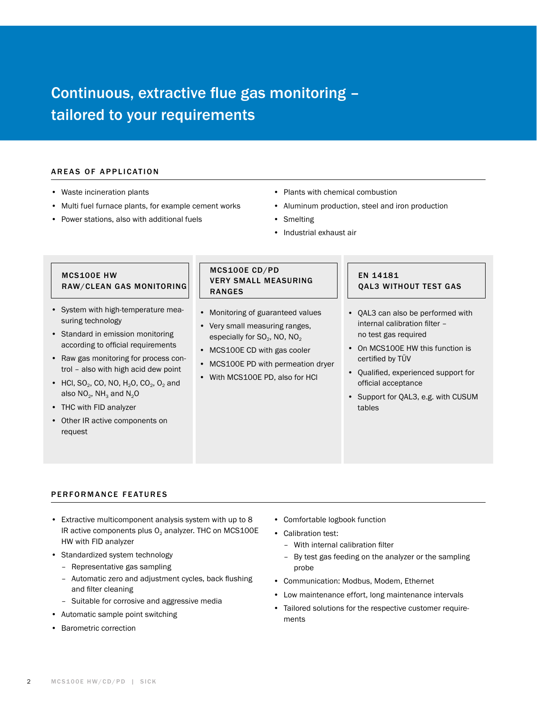# Continuous, extractive flue gas monitoring – tailored to your requirements

#### AREAS OF APPLICATION

- Waste incineration plants
- Multi fuel furnace plants, for example cement works
- Power stations, also with additional fuels
- Plants with chemical combustion
- Aluminum production, steel and iron production
- Smelting
- Industrial exhaust air

# MCS100E HW RAW/CLEAN GAS MONITORING

- System with high-temperature measuring technology
- Standard in emission monitoring according to official requirements
- Raw gas monitoring for process control – also with high acid dew point
- HCl, SO<sub>2</sub>, CO, NO, H<sub>2</sub>O, CO<sub>2</sub>, O<sub>2</sub> and also  $NO<sub>2</sub>$ , NH<sub>3</sub> and  $N<sub>2</sub>O$
- THC with FID analyzer
- Other IR active components on request

# MCS100E CD/PD very small measuring ranges

- Monitoring of guaranteed values
- Very small measuring ranges, especially for  $SO_2$ , NO, NO<sub>2</sub>
- MCS100E CD with gas cooler
- MCS100E PD with permeation dryer
- With MCS100E PD, also for HCl

# EN 14181 QAL3 without test gas

- QAL3 can also be performed with internal calibration filter – no test gas required
- On MCS100E HW this function is certified by TÜV
- Qualified, experienced support for official acceptance
- Support for QAL3, e.g. with CUSUM tables

# PERFORMANCE FEATURES

- Extractive multicomponent analysis system with up to 8 IR active components plus  $O<sub>2</sub>$  analyzer. THC on MCS100E HW with FID analyzer
- Standardized system technology
	- Representative gas sampling
	- Automatic zero and adjustment cycles, back flushing and filter cleaning
	- Suitable for corrosive and aggressive media
- Automatic sample point switching
- Barometric correction
- Comfortable logbook function
- Calibration test:
	- With internal calibration filter
	- By test gas feeding on the analyzer or the sampling probe
- Communication: Modbus, Modem, Ethernet
- Low maintenance effort, long maintenance intervals
- Tailored solutions for the respective customer requirements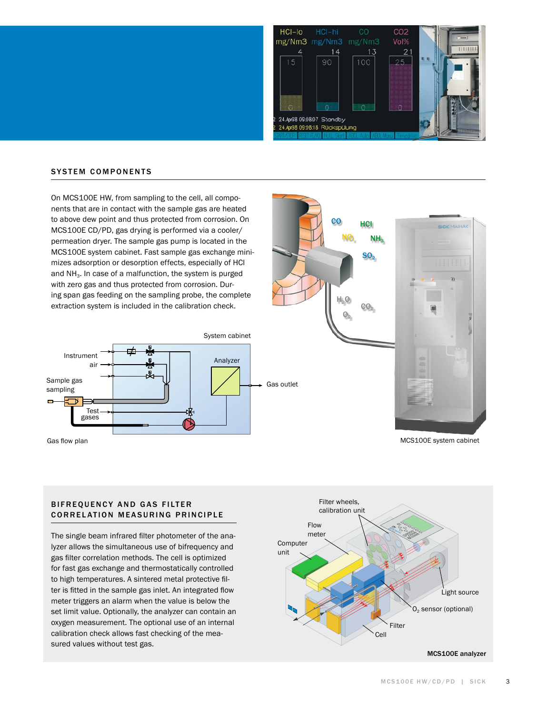

## **SYSTEM COMPONENTS**

On MCS100E HW, from sampling to the cell, all components that are in contact with the sample gas are heated to above dew point and thus protected from corrosion. On MCS100E CD/PD, gas drying is performed via a cooler/ permeation dryer. The sample gas pump is located in the MCS100E system cabinet. Fast sample gas exchange minimizes adsorption or desorption effects, especially of HCl and  $NH<sub>3</sub>$ . In case of a malfunction, the system is purged with zero gas and thus protected from corrosion. During span gas feeding on the sampling probe, the complete extraction system is included in the calibration check.





Gas flow plan MCS100E system cabinet

# BIFREQUENCY AND GAS FILTER **CORRELATION MEASURING PRINCIPLE**

The single beam infrared filter photometer of the analyzer allows the simultaneous use of bifrequency and gas filter correlation methods. The cell is optimized for fast gas exchange and thermostatically controlled to high temperatures. A sintered metal protective filter is fitted in the sample gas inlet. An integrated flow meter triggers an alarm when the value is below the set limit value. Optionally, the analyzer can contain an oxygen measurement. The optional use of an internal calibration check allows fast checking of the measured values without test gas.